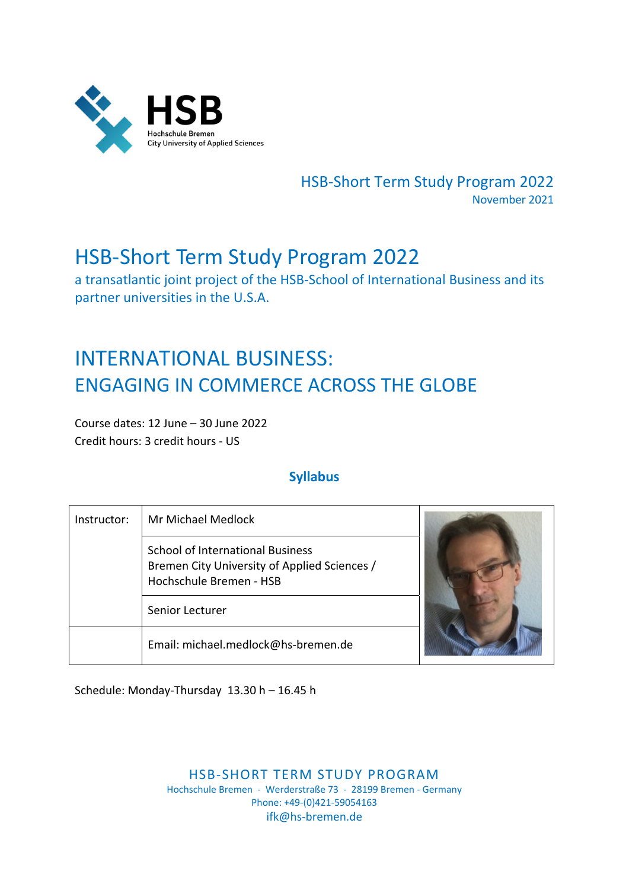

HSB‐Short Term Study Program 2022 November 2021

## HSB‐Short Term Study Program 2022

a transatlantic joint project of the HSB‐School of International Business and its partner universities in the U.S.A.

# INTERNATIONAL BUSINESS: ENGAGING IN COMMERCE ACROSS THE GLOBE

Course dates: 12 June – 30 June 2022 Credit hours: 3 credit hours ‐ US

### **Syllabus**

| Instructor: | Mr Michael Medlock                                                                                                 |  |
|-------------|--------------------------------------------------------------------------------------------------------------------|--|
|             | <b>School of International Business</b><br>Bremen City University of Applied Sciences /<br>Hochschule Bremen - HSB |  |
|             | Senior Lecturer                                                                                                    |  |
|             | Email: michael.medlock@hs-bremen.de                                                                                |  |

Schedule: Monday‐Thursday 13.30 h – 16.45 h

HSB‐SHORT TERM STUDY PROGRAM Hochschule Bremen ‐ Werderstraße 73 ‐ 28199 Bremen ‐ Germany Phone: +49‐(0)421‐59054163 ifk@hs‐bremen.de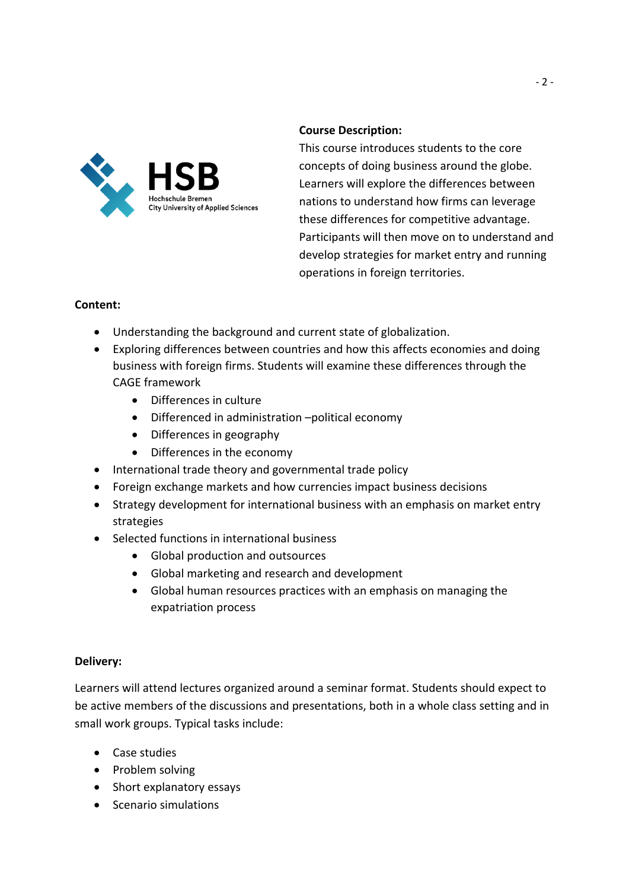

#### **Course Description:**

This course introduces students to the core concepts of doing business around the globe. Learners will explore the differences between nations to understand how firms can leverage these differences for competitive advantage. Participants will then move on to understand and develop strategies for market entry and running operations in foreign territories.

#### **Content:**

- Understanding the background and current state of globalization.
- Exploring differences between countries and how this affects economies and doing business with foreign firms. Students will examine these differences through the CAGE framework
	- Differences in culture
	- Differenced in administration –political economy
	- Differences in geography
	- Differences in the economy
- International trade theory and governmental trade policy
- Foreign exchange markets and how currencies impact business decisions
- Strategy development for international business with an emphasis on market entry strategies
- Selected functions in international business
	- Global production and outsources
	- Global marketing and research and development
	- Global human resources practices with an emphasis on managing the expatriation process

#### **Delivery:**

Learners will attend lectures organized around a seminar format. Students should expect to be active members of the discussions and presentations, both in a whole class setting and in small work groups. Typical tasks include:

- Case studies
- Problem solving
- Short explanatory essays
- Scenario simulations